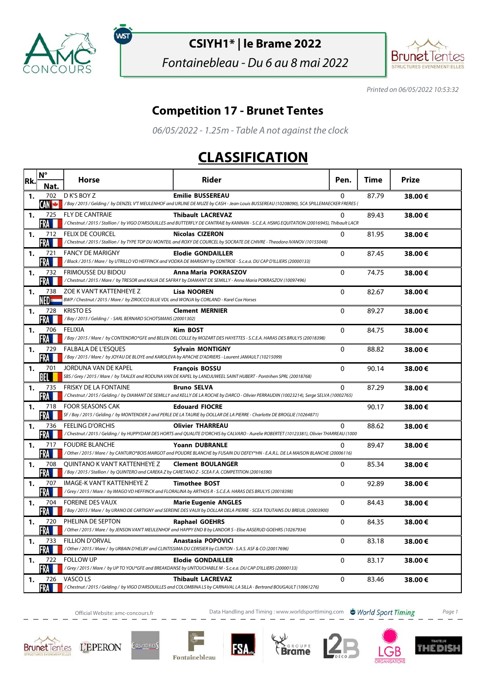

พร

## **CSIYH1\* | le Brame 2022**

Fontainebleau - Du 6 au 8 mai 2022



Printed on 06/05/2022 10:53:32

## **Competition 17 - Brunet Tentes**

06/05/2022 - 1.25m - Table A not against the clock

## **CLASSIFICATION**

| Rk. | $N^{\circ}$        | <b>Horse</b>                                                                                                                        | Rider                                                                                                                                                                   | Pen.         | Time  | Prize  |
|-----|--------------------|-------------------------------------------------------------------------------------------------------------------------------------|-------------------------------------------------------------------------------------------------------------------------------------------------------------------------|--------------|-------|--------|
|     | Nat.               |                                                                                                                                     |                                                                                                                                                                         |              |       |        |
| 1.  | 702<br>TAN'        | D K'S BOY Z                                                                                                                         | <b>Emilie BUSSEREAU</b><br>/ Bay / 2015 / Gelding / by DENZEL V'T MEULENHOF and URLINE DE MUZE by CASH - Jean-Louis BUSSEREAU (10208090), SCA SPILLEMAECKER FRERES      | $\mathbf{0}$ | 87.79 | 38.00€ |
| 1.  | 725<br>FRA III     | <b>FLY DE CANTRAIE</b>                                                                                                              | <b>Thibault LACREVAZ</b><br>/Chestnut / 2015 / Stallion / by VIGO D'ARSOUILLES and BUTTERFLY DE CANTRAIE by KANNAN - S.C.E.A. HSMG EQUITATION (20016945), Thibault LACR | 0            | 89.43 | 38.00€ |
| 1.  | 712<br>FRA         | <b>FELIX DE COURCEL</b>                                                                                                             | <b>Nicolas CIZERON</b><br>/ Chestnut / 2015 / Stallion / by TYPE TOP DU MONTEIL and ROXY DE COURCEL by SOCRATE DE CHIVRE - Theodora IVANOV (10155048)                   | $\mathbf{0}$ | 81.95 | 38.00€ |
| 1.  | 721<br>FRA         | <b>FANCY DE MARIGNY</b>                                                                                                             | <b>Elodie GONDAILLER</b><br>/Black / 2015 / Mare / by UTRILLO VD HEFFINCK and VODKA DE MARIGNY by CONTROE - S.c.e.a. DU CAP D'ILLIERS (20000133)                        | 0            | 87.45 | 38.00€ |
| 1.  | 732<br>FRA III     | <b>FRIMOUSSE DU BIDOU</b>                                                                                                           | <b>Anna Maria POKRASZOV</b><br>/ Chestnut / 2015 / Mare / by TRESOR and KALIA DE SAFRAY by DIAMANT DE SEMILLY - Anna Maria POKRASZOV (10097496)                         | $\Omega$     | 74.75 | 38.00€ |
| 1.  | 738<br>HE <b>I</b> | ZOE K VAN'T KATTENHEYE Z<br>BWP / Chestnut / 2015 / Mare / by ZIROCCO BLUE VDL and WONJA by CORLAND - Karel Cox Horses              | <b>Lisa NOOREN</b>                                                                                                                                                      | 0            | 82.67 | 38.00€ |
| 1.  | 728<br>FRA         | <b>KRISTO ES</b><br>/Bay / 2015 / Gelding / - SARL BERNARD SCHOTSMANS (20001302)                                                    | <b>Clement MERNIER</b>                                                                                                                                                  | $\mathbf{0}$ | 89.27 | 38.00€ |
| 1.  | 706<br>FRA I       | <b>FELIXIA</b>                                                                                                                      | <b>Kim BOST</b><br>/Bay / 2015 / Mare / by CONTENDRO*GFE and BELEN DEL COLLE by MOZART DES HAYETTES - S.C.E.A. HARAS DES BRULYS (20018398)                              | $\mathbf 0$  | 84.75 | 38.00€ |
| 1.  | 729<br>FRA         | <b>FALBALA DE L'ESOUES</b>                                                                                                          | <b>Sylvain MONTIGNY</b><br>/Bay/2015/Mare/ by JOYAU DE BLOYE and KAROLEVA by APACHE D'ADRIERS - Laurent JAMAULT (10215099)                                              | $\mathbf 0$  | 88.82 | 38.00€ |
| 1.  | 701<br>BEL         | JORDUNA VAN DE KAPEL                                                                                                                | <b>François BOSSU</b><br>SBS / Grey / 2015 / Mare / by TAALEX and RODUNA VAN DE KAPEL by LANDJUWEEL SAINT HUBERT - Pontrihen SPRL (20018768)                            | $\mathbf 0$  | 90.14 | 38.00€ |
| 1.  | 735<br>FRA I       | <b>FRISKY DE LA FONTAINE</b>                                                                                                        | <b>Bruno SELVA</b><br>/Chestnut/2015/Gelding/byDIAMANTDE SEMILLY and KELLYDE LA ROCHE byDARCO - Olivier PERRAUDIN (10023214), Serge SELVA (10002765)                    | $\Omega$     | 87.29 | 38.00€ |
| 1.  | 718<br>FRA         | <b>FOOR SEASONS CAK</b>                                                                                                             | <b>Edouard FIOCRE</b><br>SF / Bay / 2015 / Gelding / by MONTENDER 2 and PERLE DE LA TAURIE by DOLLAR DE LA PIERRE - Charlotte DE BROGLIE (10264871)                     |              | 90.17 | 38.00€ |
| 1.  | 736<br>'RA         | <b>FEELING D'ORCHIS</b>                                                                                                             | <b>Olivier THARREAU</b><br>/Chestnut / 2015 / Gelding / by HUPPYDAM DES HORTS and QUALITE D'ORCHIS by CALVARO - Aurelie ROBERTET (10123381), Olivier THARREAU (1000     | 0            | 88.62 | 38.00€ |
| 1.  | 717<br>RA M        | <b>FOUDRE BLANCHE</b>                                                                                                               | <b>Yoann DUBRANLE</b><br>/Other/2015/Mare/ by CANTURO*BOIS MARGOT and POUDRE BLANCHE by FUSAIN DU DEFEY*HN - E.A.R.L. DE LA MAISON BLANCHE (20006116)                   | 0            | 89.47 | 38.00€ |
| 1.  | 708<br>FRA         | QUINTANO K VAN'T KATTENHEYE Z<br>/Bay / 2015 / Stallion / by QUINTERO and CAREKA Z by CARETANO Z - SCEA F.A. COMPETITION (20016590) | <b>Clement BOULANGER</b>                                                                                                                                                | $\Omega$     | 85.34 | 38.00€ |
| 1.  | 707<br>-RA         | <b>IMAGE-K VAN'T KATTENHEYE Z</b>                                                                                                   | <b>Timothee BOST</b><br>/Grey / 2015 / Mare / by IMAGO VD HEFFINCK and FLORALINA by ARTHOS R - S.C.E.A. HARAS DES BRULYS (20018398)                                     | 0            | 92.89 | 38.00€ |
| 1.  | 704<br>·RA         | <b>FOREINE DES VAUX</b>                                                                                                             | <b>Marie Eugenie ANGLES</b><br>/Bay / 2015 / Mare / by URANO DE CARTIGNY and SEREINE DES VAUX by DOLLAR DELA PIERRE - SCEA TOUTAINS DU BREUIL (20003900)                | $\mathbf 0$  | 84.43 | 38.00€ |
| 1.  | 720<br>RA LI       | PHELINA DE SEPTON                                                                                                                   | <b>Raphael GOEHRS</b><br>/ Other / 2015 / Mare / by JENSON VAN'T MEULENHOF and HAPPY END B by LANDOR S - Elise AASERUD GOEHRS (10267934)                                | 0            | 84.35 | 38.00€ |
| 1.  | 733<br>FRA         | <b>FILLION D'ORVAL</b>                                                                                                              | Anastasia POPOVICI<br>/ Other / 2015 / Mare / by URBAIN D'HELBY and CLINTISSIMA DU CERISIER by CLINTON - S.A.S. ASF & CO (20017696)                                     | $\Omega$     | 83.18 | 38.00€ |
| 1.  | 722<br>FRA         | <b>FOLLOW UP</b>                                                                                                                    | <b>Elodie GONDAILLER</b><br>/Grey / 2015 / Mare / by UP TO YOU*GFE and BREAKDANSE by UNTOUCHABLE M - S.c.e.a. DU CAP D'ILLIERS (20000133)                               | $\mathbf 0$  | 83.17 | 38.00€ |
| 1.  | 726<br>FRA III     | VASCO LS                                                                                                                            | <b>Thibault LACREVAZ</b><br>/Chestnut/2015/Gelding/by VIGO D'ARSOUILLES and COLOMBINA LS by CARNAVAL LA SILLA - Bertrand BOUGAULT (10061276)                            | $\Omega$     | 83.46 | 38.00€ |



Official Website: amc-concours.fr **Data Handling and Timing : www.worldsporttiming.com b** World Sport Timing Page 1